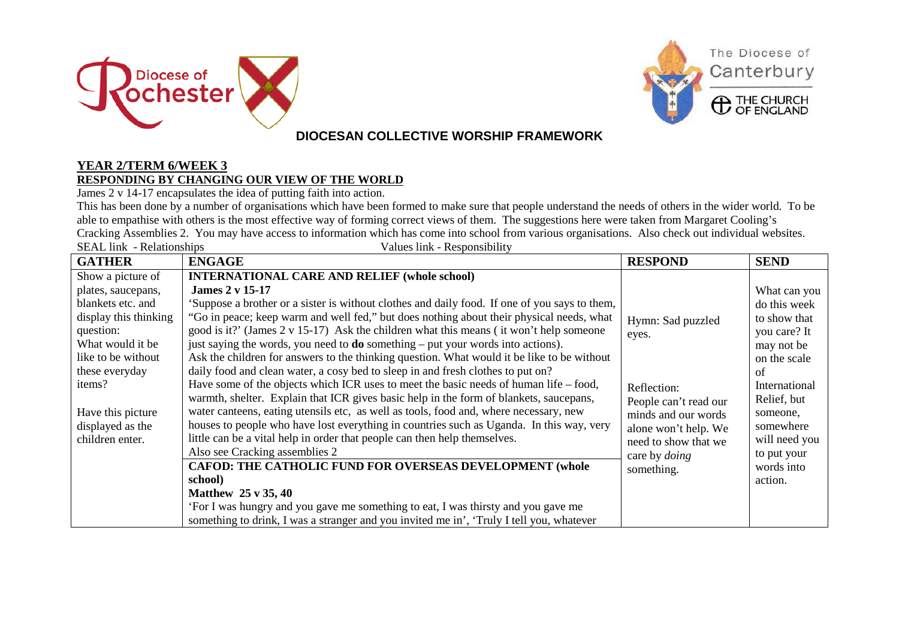



### **DIOCESAN COLLECTIVE WORSHIP FRAMEWORK**

#### **YEAR 2/TERM 6/WEEK 3 RESPONDING BY CHANGING OUR VIEW OF THE WORLD**

James 2 v 14-17 encapsulates the idea of putting faith into action.

This has been done by a number of organisations which have been formed to make sure that people understand the needs of others in the wider world. To be able to empathise with others is the most effective way of forming correct views of them. The suggestions here were taken from Margaret Cooling's Cracking Assemblies 2. You may have access to information which has come into school from various organisations. Also check out individual websites. Values link - Responsibility

| <b>GATHER</b>                                                                                                                                                                                                                                                    | <b>ENGAGE</b>                                                                                                                                                                                                                                                                                                                                                                                                                                                                                                                                                                                                                                                                                                                                                                                                                                                                                                                                                                                                                                                                                                                                                                    | <b>RESPOND</b>                                                                                                                                                    | <b>SEND</b>                                                                                                                                                                               |
|------------------------------------------------------------------------------------------------------------------------------------------------------------------------------------------------------------------------------------------------------------------|----------------------------------------------------------------------------------------------------------------------------------------------------------------------------------------------------------------------------------------------------------------------------------------------------------------------------------------------------------------------------------------------------------------------------------------------------------------------------------------------------------------------------------------------------------------------------------------------------------------------------------------------------------------------------------------------------------------------------------------------------------------------------------------------------------------------------------------------------------------------------------------------------------------------------------------------------------------------------------------------------------------------------------------------------------------------------------------------------------------------------------------------------------------------------------|-------------------------------------------------------------------------------------------------------------------------------------------------------------------|-------------------------------------------------------------------------------------------------------------------------------------------------------------------------------------------|
| SEAL IIIK - KURHUISIIIDS<br>Show a picture of<br>plates, saucepans,<br>blankets etc. and<br>display this thinking<br>question:<br>What would it be<br>like to be without<br>these everyday<br>items?<br>Have this picture<br>displayed as the<br>children enter. | Vances Thin - Responsibility<br><b>INTERNATIONAL CARE AND RELIEF (whole school)</b><br><b>James 2 v 15-17</b><br>'Suppose a brother or a sister is without clothes and daily food. If one of you says to them,<br>"Go in peace; keep warm and well fed," but does nothing about their physical needs, what<br>good is it?' (James $2 \times 15-17$ ) Ask the children what this means (it won't help someone<br>just saying the words, you need to <b>do</b> something $-$ put your words into actions).<br>Ask the children for answers to the thinking question. What would it be like to be without<br>daily food and clean water, a cosy bed to sleep in and fresh clothes to put on?<br>Have some of the objects which ICR uses to meet the basic needs of human life – food,<br>warmth, shelter. Explain that ICR gives basic help in the form of blankets, saucepans,<br>water canteens, eating utensils etc, as well as tools, food and, where necessary, new<br>houses to people who have lost everything in countries such as Uganda. In this way, very<br>little can be a vital help in order that people can then help themselves.<br>Also see Cracking assemblies 2 | Hymn: Sad puzzled<br>eyes.<br>Reflection:<br>People can't read our<br>minds and our words<br>alone won't help. We<br>need to show that we<br>care by <i>doing</i> | What can you<br>do this week<br>to show that<br>you care? It<br>may not be<br>on the scale<br>of<br>International<br>Relief, but<br>someone,<br>somewhere<br>will need you<br>to put your |
|                                                                                                                                                                                                                                                                  | <b>CAFOD: THE CATHOLIC FUND FOR OVERSEAS DEVELOPMENT (whole</b>                                                                                                                                                                                                                                                                                                                                                                                                                                                                                                                                                                                                                                                                                                                                                                                                                                                                                                                                                                                                                                                                                                                  | something.                                                                                                                                                        | words into                                                                                                                                                                                |
|                                                                                                                                                                                                                                                                  | school)                                                                                                                                                                                                                                                                                                                                                                                                                                                                                                                                                                                                                                                                                                                                                                                                                                                                                                                                                                                                                                                                                                                                                                          |                                                                                                                                                                   | action.                                                                                                                                                                                   |
|                                                                                                                                                                                                                                                                  | <b>Matthew 25 v 35, 40</b><br>'For I was hungry and you gave me something to eat, I was thirsty and you gave me                                                                                                                                                                                                                                                                                                                                                                                                                                                                                                                                                                                                                                                                                                                                                                                                                                                                                                                                                                                                                                                                  |                                                                                                                                                                   |                                                                                                                                                                                           |
|                                                                                                                                                                                                                                                                  | something to drink, I was a stranger and you invited me in', 'Truly I tell you, whatever                                                                                                                                                                                                                                                                                                                                                                                                                                                                                                                                                                                                                                                                                                                                                                                                                                                                                                                                                                                                                                                                                         |                                                                                                                                                                   |                                                                                                                                                                                           |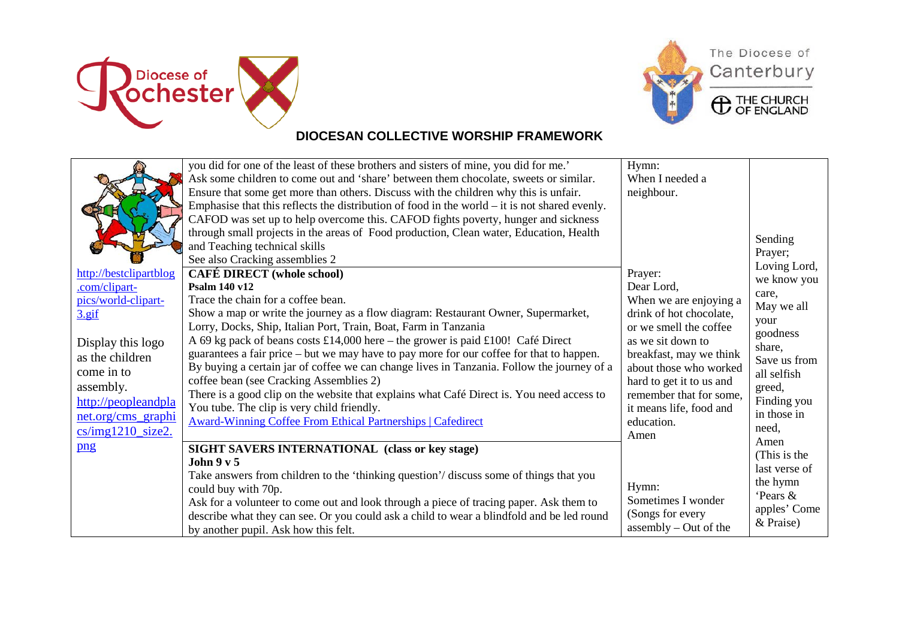



# The Diocese of Canterbury

**C** THE CHURCH

## **DIOCESAN COLLECTIVE WORSHIP FRAMEWORK**

| http://bestclipartblog<br>.com/clipart-<br>pics/world-clipart-<br>$3.$ gif<br>Display this logo | you did for one of the least of these brothers and sisters of mine, you did for me.'<br>Ask some children to come out and 'share' between them chocolate, sweets or similar.<br>Ensure that some get more than others. Discuss with the children why this is unfair.<br>Emphasise that this reflects the distribution of food in the world $-$ it is not shared evenly.<br>CAFOD was set up to help overcome this. CAFOD fights poverty, hunger and sickness<br>through small projects in the areas of Food production, Clean water, Education, Health<br>and Teaching technical skills<br>See also Cracking assemblies 2<br><b>CAFÉ DIRECT</b> (whole school)<br>Psalm 140 v12<br>Trace the chain for a coffee bean.<br>Show a map or write the journey as a flow diagram: Restaurant Owner, Supermarket,<br>Lorry, Docks, Ship, Italian Port, Train, Boat, Farm in Tanzania<br>A 69 kg pack of beans costs £14,000 here – the grower is paid £100! Café Direct<br>guarantees a fair price – but we may have to pay more for our coffee for that to happen. | Hymn:<br>When I needed a<br>neighbour.<br>Prayer:<br>Dear Lord,<br>When we are enjoying a<br>drink of hot chocolate,<br>or we smell the coffee<br>as we sit down to | Sending<br>Prayer;<br>Loving Lord,<br>we know you<br>care,<br>May we all<br>your<br>goodness<br>share, |
|-------------------------------------------------------------------------------------------------|--------------------------------------------------------------------------------------------------------------------------------------------------------------------------------------------------------------------------------------------------------------------------------------------------------------------------------------------------------------------------------------------------------------------------------------------------------------------------------------------------------------------------------------------------------------------------------------------------------------------------------------------------------------------------------------------------------------------------------------------------------------------------------------------------------------------------------------------------------------------------------------------------------------------------------------------------------------------------------------------------------------------------------------------------------------|---------------------------------------------------------------------------------------------------------------------------------------------------------------------|--------------------------------------------------------------------------------------------------------|
| as the children<br>come in to<br>assembly.<br>http://peopleandpla<br>net.org/cms_graphi         | By buying a certain jar of coffee we can change lives in Tanzania. Follow the journey of a<br>coffee bean (see Cracking Assemblies 2)<br>There is a good clip on the website that explains what Café Direct is. You need access to<br>You tube. The clip is very child friendly.<br><b>Award-Winning Coffee From Ethical Partnerships   Cafedirect</b>                                                                                                                                                                                                                                                                                                                                                                                                                                                                                                                                                                                                                                                                                                       | about those who worked<br>hard to get it to us and<br>remember that for some,<br>it means life, food and<br>education.                                              | Save us from<br>all selfish<br>greed,<br>Finding you<br>in those in                                    |
| $cs/img1210$ <sub>size2</sub> .<br>png                                                          | SIGHT SAVERS INTERNATIONAL (class or key stage)<br>John $9y5$<br>Take answers from children to the 'thinking question'/ discuss some of things that you                                                                                                                                                                                                                                                                                                                                                                                                                                                                                                                                                                                                                                                                                                                                                                                                                                                                                                      | Amen                                                                                                                                                                | need,<br>Amen<br>(This is the<br>last verse of<br>the hymn                                             |
|                                                                                                 | could buy with 70p.<br>Ask for a volunteer to come out and look through a piece of tracing paper. Ask them to<br>describe what they can see. Or you could ask a child to wear a blindfold and be led round<br>by another pupil. Ask how this felt.                                                                                                                                                                                                                                                                                                                                                                                                                                                                                                                                                                                                                                                                                                                                                                                                           | Hymn:<br>Sometimes I wonder<br>(Songs for every<br>assembly $-$ Out of the                                                                                          | 'Pears &<br>apples' Come<br>& Praise)                                                                  |